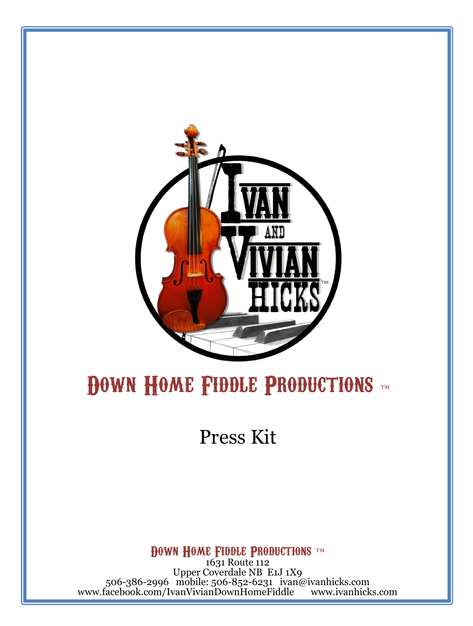

### DOWN HOME FIDDLE PRODUCTIONS

Press Kit

**DOWN HOME FIDDLE PRODUCTIONS** ™

1631 Route 112 Upper Coverdale NB E1J 1X9 506-386-2996 mobile: 506-852-6231 ivan@ivanhicks.com www.facebook.com/IvanVivianDownHomeFiddle www.ivanhicks.com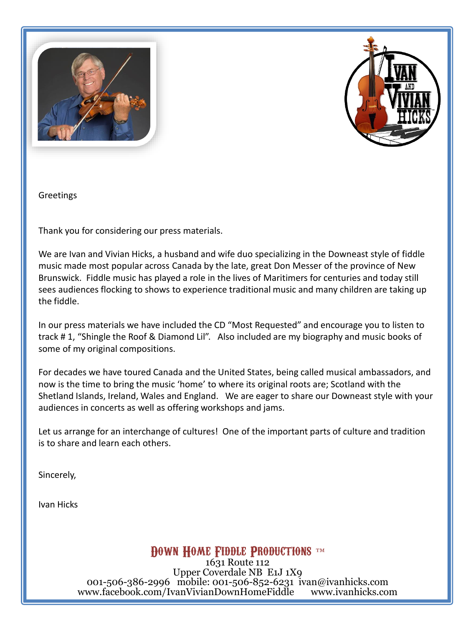



Greetings

Thank you for considering our press materials.

We are Ivan and Vivian Hicks, a husband and wife duo specializing in the Downeast style of fiddle music made most popular across Canada by the late, great Don Messer of the province of New Brunswick. Fiddle music has played a role in the lives of Maritimers for centuries and today still sees audiences flocking to shows to experience traditional music and many children are taking up the fiddle.

In our press materials we have included the CD "Most Requested" and encourage you to listen to track # 1, "Shingle the Roof & Diamond Lil". Also included are my biography and music books of some of my original compositions.

For decades we have toured Canada and the United States, being called musical ambassadors, and now is the time to bring the music 'home' to where its original roots are; Scotland with the Shetland Islands, Ireland, Wales and England. We are eager to share our Downeast style with your audiences in concerts as well as offering workshops and jams.

Let us arrange for an interchange of cultures! One of the important parts of culture and tradition is to share and learn each others.

Sincerely,

Ivan Hicks

**DOWN HOME FIDDLE PRODUCTIONS** TM

1631 Route 112 Upper Coverdale NB E1J 1X9 001-506-386-2996 mobile: 001-506-852-6231 ivan@ivanhicks.com<br>ww.facebook.com/IvanVivianDownHomeFiddle www.ivanhicks.com www.facebook.com/IvanVivianDownHomeFiddle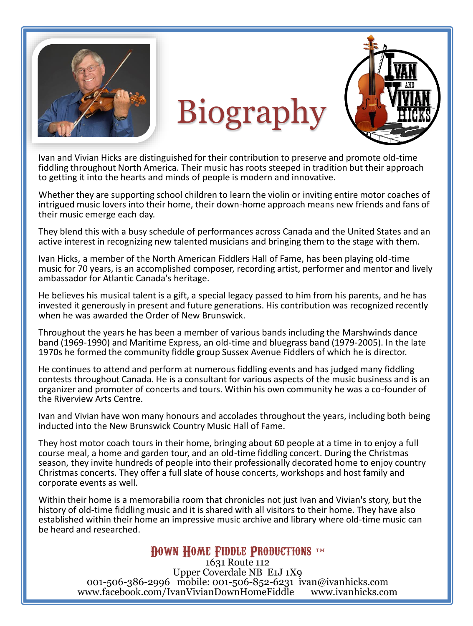

# Biography



Ivan and Vivian Hicks are distinguished for their contribution to preserve and promote old-time fiddling throughout North America. Their music has roots steeped in tradition but their approach to getting it into the hearts and minds of people is modern and innovative.

Whether they are supporting school children to learn the violin or inviting entire motor coaches of intrigued music lovers into their home, their down-home approach means new friends and fans of their music emerge each day.

They blend this with a busy schedule of performances across Canada and the United States and an active interest in recognizing new talented musicians and bringing them to the stage with them.

Ivan Hicks, a member of the North American Fiddlers Hall of Fame, has been playing old-time music for 70 years, is an accomplished composer, recording artist, performer and mentor and lively ambassador for Atlantic Canada's heritage.

He believes his musical talent is a gift, a special legacy passed to him from his parents, and he has invested it generously in present and future generations. His contribution was recognized recently when he was awarded the Order of New Brunswick.

Throughout the years he has been a member of various bands including the Marshwinds dance band (1969-1990) and Maritime Express, an old-time and bluegrass band (1979-2005). In the late 1970s he formed the community fiddle group Sussex Avenue Fiddlers of which he is director.

He continues to attend and perform at numerous fiddling events and has judged many fiddling contests throughout Canada. He is a consultant for various aspects of the music business and is an organizer and promoter of concerts and tours. Within his own community he was a co-founder of the Riverview Arts Centre.

Ivan and Vivian have won many honours and accolades throughout the years, including both being inducted into the New Brunswick Country Music Hall of Fame.

They host motor coach tours in their home, bringing about 60 people at a time in to enjoy a full course meal, a home and garden tour, and an old-time fiddling concert. During the Christmas season, they invite hundreds of people into their professionally decorated home to enjoy country Christmas concerts. They offer a full slate of house concerts, workshops and host family and corporate events as well.

Within their home is a memorabilia room that chronicles not just Ivan and Vivian's story, but the history of old-time fiddling music and it is shared with all visitors to their home. They have also established within their home an impressive music archive and library where old-time music can be heard and researched.

#### **DOWN HOME FIDDLE PRODUCTIONS** ™

1631 Route 112 Upper Coverdale NB E1J 1X9 001-506-386-2996 mobile: 001-506-852-6231 ivan@ivanhicks.com<br>ww.facebook.com/IvanVivianDownHomeFiddle www.ivanhicks.com www.facebook.com/IvanVivianDownHomeFiddle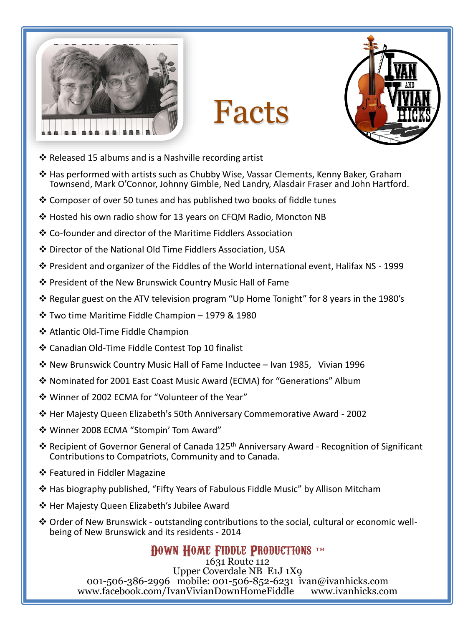

Facts



- $\clubsuit$  Released 15 albums and is a Nashville recording artist
- Has performed with artists such as Chubby Wise, Vassar Clements, Kenny Baker, Graham Townsend, Mark O'Connor, Johnny Gimble, Ned Landry, Alasdair Fraser and John Hartford.
- Composer of over 50 tunes and has published two books of fiddle tunes
- Hosted his own radio show for 13 years on CFQM Radio, Moncton NB
- Co-founder and director of the Maritime Fiddlers Association
- Director of the National Old Time Fiddlers Association, USA
- $\cdot$  President and organizer of the Fiddles of the World international event, Halifax NS 1999
- ❖ President of the New Brunswick Country Music Hall of Fame
- $\clubsuit$  Regular guest on the ATV television program "Up Home Tonight" for 8 years in the 1980's
- Two time Maritime Fiddle Champion 1979 & 1980
- ❖ Atlantic Old-Time Fiddle Champion
- Canadian Old-Time Fiddle Contest Top 10 finalist
- New Brunswick Country Music Hall of Fame Inductee Ivan 1985, Vivian 1996
- Nominated for 2001 East Coast Music Award (ECMA) for "Generations" Album
- Winner of 2002 ECMA for "Volunteer of the Year"
- Her Majesty Queen Elizabeth's 50th Anniversary Commemorative Award 2002
- Winner 2008 ECMA "Stompin' Tom Award"
- ❖ Recipient of Governor General of Canada 125<sup>th</sup> Anniversary Award Recognition of Significant Contributions to Compatriots, Community and to Canada.
- ❖ Featured in Fiddler Magazine
- $\clubsuit$  Has biography published, "Fifty Years of Fabulous Fiddle Music" by Allison Mitcham
- ❖ Her Majesty Queen Elizabeth's Jubilee Award
- $\clubsuit$  Order of New Brunswick outstanding contributions to the social, cultural or economic wellbeing of New Brunswick and its residents - 2014

#### **DOWN HOME FIDDLE PRODUCTIONS** ™

1631 Route 112 Upper Coverdale NB E1J 1X9 001-506-386-2996 mobile: 001-506-852-6231 ivan@ivanhicks.com<br>ww.facebook.com/IvanVivianDownHomeFiddle www.ivanhicks.com www.facebook.com/IvanVivianDownHomeFiddle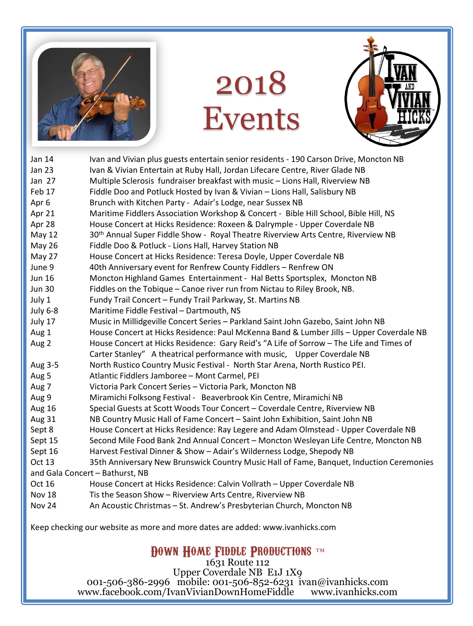

## 2018 Events



| Jan 14                          | Ivan and Vivian plus guests entertain senior residents - 190 Carson Drive, Moncton NB         |
|---------------------------------|-----------------------------------------------------------------------------------------------|
| <b>Jan 23</b>                   | Ivan & Vivian Entertain at Ruby Hall, Jordan Lifecare Centre, River Glade NB                  |
| Jan 27                          | Multiple Sclerosis fundraiser breakfast with music - Lions Hall, Riverview NB                 |
| Feb 17                          | Fiddle Doo and Potluck Hosted by Ivan & Vivian - Lions Hall, Salisbury NB                     |
| Apr 6                           | Brunch with Kitchen Party - Adair's Lodge, near Sussex NB                                     |
| Apr 21                          | Maritime Fiddlers Association Workshop & Concert - Bible Hill School, Bible Hill, NS          |
| Apr 28                          | House Concert at Hicks Residence: Roxeen & Dalrymple - Upper Coverdale NB                     |
| May 12                          | 30 <sup>th</sup> Annual Super Fiddle Show - Royal Theatre Riverview Arts Centre, Riverview NB |
| May 26                          | Fiddle Doo & Potluck - Lions Hall, Harvey Station NB                                          |
| May 27                          | House Concert at Hicks Residence: Teresa Doyle, Upper Coverdale NB                            |
| June 9                          | 40th Anniversary event for Renfrew County Fiddlers - Renfrew ON                               |
| <b>Jun 16</b>                   | Moncton Highland Games Entertainment - Hal Betts Sportsplex, Moncton NB                       |
| <b>Jun 30</b>                   | Fiddles on the Tobique - Canoe river run from Nictau to Riley Brook, NB.                      |
| July 1                          | Fundy Trail Concert - Fundy Trail Parkway, St. Martins NB                                     |
| July 6-8                        | Maritime Fiddle Festival - Dartmouth, NS                                                      |
| July 17                         | Music in Millidgeville Concert Series - Parkland Saint John Gazebo, Saint John NB             |
| Aug 1                           | House Concert at Hicks Residence: Paul McKenna Band & Lumber Jills - Upper Coverdale NB       |
| Aug 2                           | House Concert at Hicks Residence: Gary Reid's "A Life of Sorrow - The Life and Times of       |
|                                 | Carter Stanley" A theatrical performance with music, Upper Coverdale NB                       |
| Aug 3-5                         | North Rustico Country Music Festival - North Star Arena, North Rustico PEI.                   |
| Aug 5                           | Atlantic Fiddlers Jamboree - Mont Carmel, PEI                                                 |
| Aug 7                           | Victoria Park Concert Series - Victoria Park, Moncton NB                                      |
| Aug 9                           | Miramichi Folksong Festival - Beaverbrook Kin Centre, Miramichi NB                            |
| <b>Aug 16</b>                   | Special Guests at Scott Woods Tour Concert - Coverdale Centre, Riverview NB                   |
| Aug 31                          | NB Country Music Hall of Fame Concert - Saint John Exhibition, Saint John NB                  |
| Sept 8                          | House Concert at Hicks Residence: Ray Legere and Adam Olmstead - Upper Coverdale NB           |
| Sept 15                         | Second Mile Food Bank 2nd Annual Concert - Moncton Wesleyan Life Centre, Moncton NB           |
| Sept 16                         | Harvest Festival Dinner & Show - Adair's Wilderness Lodge, Shepody NB                         |
| Oct 13                          | 35th Anniversary New Brunswick Country Music Hall of Fame, Banquet, Induction Ceremonies      |
| and Gala Concert - Bathurst, NB |                                                                                               |
| Oct 16                          | House Concert at Hicks Residence: Calvin Vollrath - Upper Coverdale NB                        |
| <b>Nov 18</b>                   | Tis the Season Show - Riverview Arts Centre, Riverview NB                                     |
| Nov 24                          | An Acoustic Christmas - St. Andrew's Presbyterian Church, Moncton NB                          |

Keep checking our website as more and more dates are added: www.ivanhicks.com

**DOWN HOME FIDDLE PRODUCTIONS** ™

1631 Route 112 Upper Coverdale NB E1J 1X9 001-506-386-2996 mobile: 001-506-852-6231 ivan@ivanhicks.com www.facebook.com/IvanVivianDownHomeFiddle www.ivanhicks.com